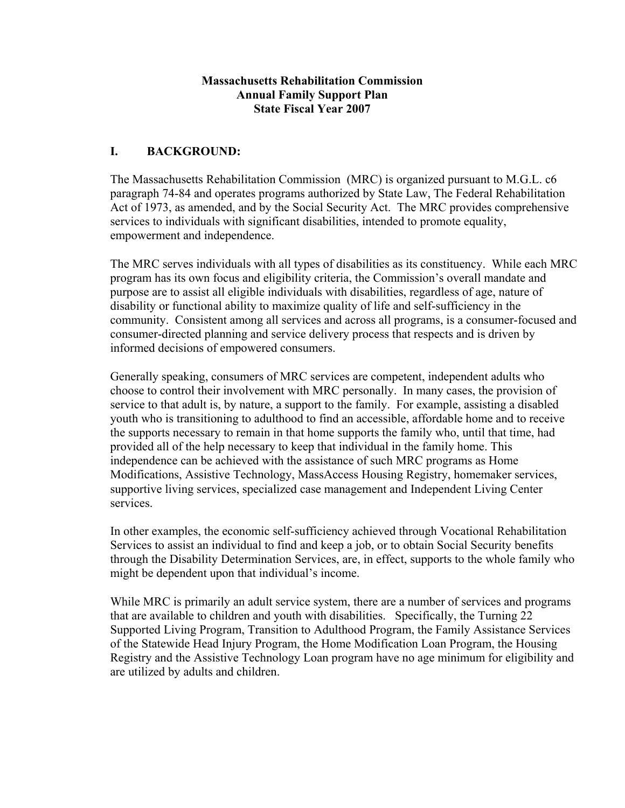#### **Massachusetts Rehabilitation Commission Annual Family Support Plan State Fiscal Year 2007**

### **I. BACKGROUND:**

The Massachusetts Rehabilitation Commission (MRC) is organized pursuant to M.G.L. c6 paragraph 74-84 and operates programs authorized by State Law, The Federal Rehabilitation Act of 1973, as amended, and by the Social Security Act. The MRC provides comprehensive services to individuals with significant disabilities, intended to promote equality, empowerment and independence.

The MRC serves individuals with all types of disabilities as its constituency. While each MRC program has its own focus and eligibility criteria, the Commission's overall mandate and purpose are to assist all eligible individuals with disabilities, regardless of age, nature of disability or functional ability to maximize quality of life and self-sufficiency in the community. Consistent among all services and across all programs, is a consumer-focused and consumer-directed planning and service delivery process that respects and is driven by informed decisions of empowered consumers.

Generally speaking, consumers of MRC services are competent, independent adults who choose to control their involvement with MRC personally. In many cases, the provision of service to that adult is, by nature, a support to the family. For example, assisting a disabled youth who is transitioning to adulthood to find an accessible, affordable home and to receive the supports necessary to remain in that home supports the family who, until that time, had provided all of the help necessary to keep that individual in the family home. This independence can be achieved with the assistance of such MRC programs as Home Modifications, Assistive Technology, MassAccess Housing Registry, homemaker services, supportive living services, specialized case management and Independent Living Center services.

In other examples, the economic self-sufficiency achieved through Vocational Rehabilitation Services to assist an individual to find and keep a job, or to obtain Social Security benefits through the Disability Determination Services, are, in effect, supports to the whole family who might be dependent upon that individual's income.

While MRC is primarily an adult service system, there are a number of services and programs that are available to children and youth with disabilities. Specifically, the Turning 22 Supported Living Program, Transition to Adulthood Program, the Family Assistance Services of the Statewide Head Injury Program, the Home Modification Loan Program, the Housing Registry and the Assistive Technology Loan program have no age minimum for eligibility and are utilized by adults and children.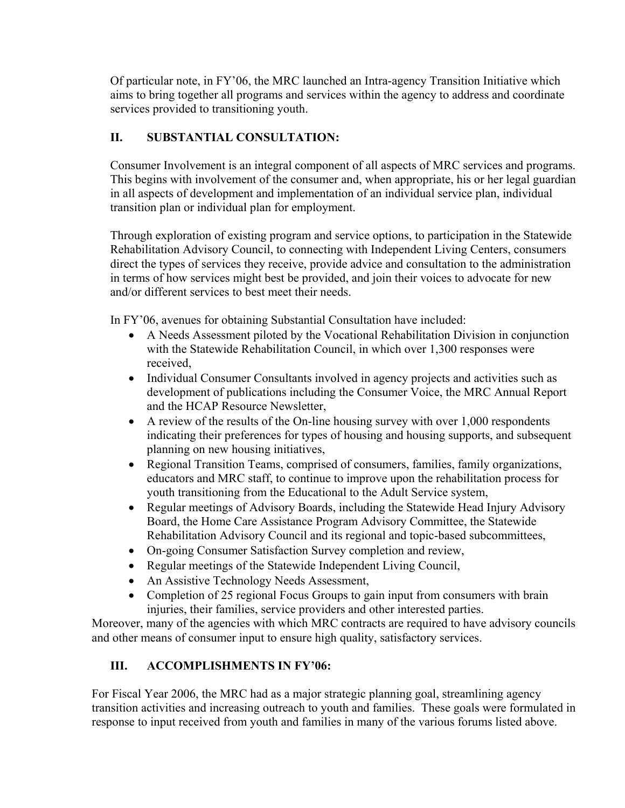Of particular note, in FY'06, the MRC launched an Intra-agency Transition Initiative which aims to bring together all programs and services within the agency to address and coordinate services provided to transitioning youth.

## **II. SUBSTANTIAL CONSULTATION:**

Consumer Involvement is an integral component of all aspects of MRC services and programs. This begins with involvement of the consumer and, when appropriate, his or her legal guardian in all aspects of development and implementation of an individual service plan, individual transition plan or individual plan for employment.

Through exploration of existing program and service options, to participation in the Statewide Rehabilitation Advisory Council, to connecting with Independent Living Centers, consumers direct the types of services they receive, provide advice and consultation to the administration in terms of how services might best be provided, and join their voices to advocate for new and/or different services to best meet their needs.

In FY'06, avenues for obtaining Substantial Consultation have included:

- A Needs Assessment piloted by the Vocational Rehabilitation Division in conjunction with the Statewide Rehabilitation Council, in which over 1,300 responses were received,
- Individual Consumer Consultants involved in agency projects and activities such as development of publications including the Consumer Voice, the MRC Annual Report and the HCAP Resource Newsletter,
- A review of the results of the On-line housing survey with over 1,000 respondents indicating their preferences for types of housing and housing supports, and subsequent planning on new housing initiatives,
- Regional Transition Teams, comprised of consumers, families, family organizations, educators and MRC staff, to continue to improve upon the rehabilitation process for youth transitioning from the Educational to the Adult Service system,
- Regular meetings of Advisory Boards, including the Statewide Head Injury Advisory Board, the Home Care Assistance Program Advisory Committee, the Statewide Rehabilitation Advisory Council and its regional and topic-based subcommittees,
- On-going Consumer Satisfaction Survey completion and review,
- Regular meetings of the Statewide Independent Living Council,
- An Assistive Technology Needs Assessment,
- Completion of 25 regional Focus Groups to gain input from consumers with brain injuries, their families, service providers and other interested parties.

Moreover, many of the agencies with which MRC contracts are required to have advisory councils and other means of consumer input to ensure high quality, satisfactory services.

# **III. ACCOMPLISHMENTS IN FY'06:**

For Fiscal Year 2006, the MRC had as a major strategic planning goal, streamlining agency transition activities and increasing outreach to youth and families. These goals were formulated in response to input received from youth and families in many of the various forums listed above.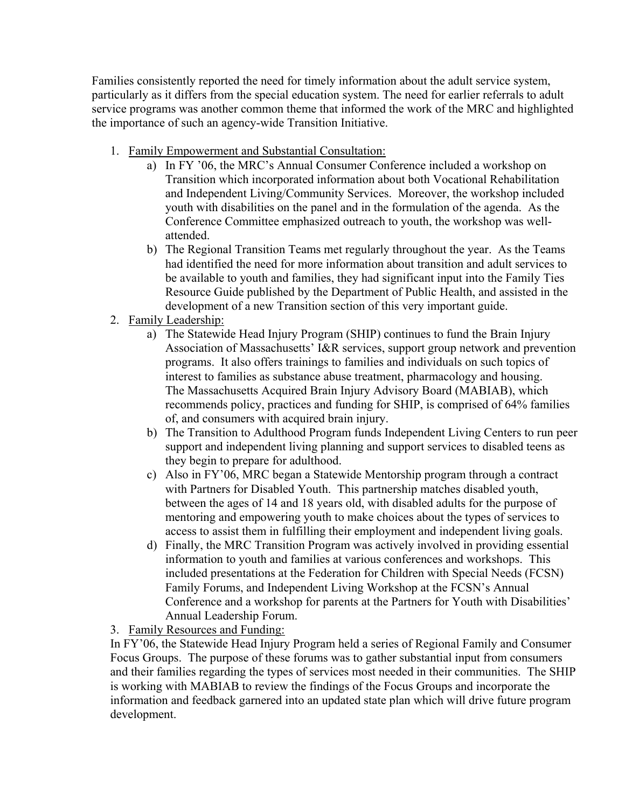Families consistently reported the need for timely information about the adult service system, particularly as it differs from the special education system. The need for earlier referrals to adult service programs was another common theme that informed the work of the MRC and highlighted the importance of such an agency-wide Transition Initiative.

- 1. Family Empowerment and Substantial Consultation:
	- a) In FY '06, the MRC's Annual Consumer Conference included a workshop on Transition which incorporated information about both Vocational Rehabilitation and Independent Living/Community Services. Moreover, the workshop included youth with disabilities on the panel and in the formulation of the agenda. As the Conference Committee emphasized outreach to youth, the workshop was wellattended.
	- b) The Regional Transition Teams met regularly throughout the year. As the Teams had identified the need for more information about transition and adult services to be available to youth and families, they had significant input into the Family Ties Resource Guide published by the Department of Public Health, and assisted in the development of a new Transition section of this very important guide.
- 2. Family Leadership:
	- a) The Statewide Head Injury Program (SHIP) continues to fund the Brain Injury Association of Massachusetts' I&R services, support group network and prevention programs. It also offers trainings to families and individuals on such topics of interest to families as substance abuse treatment, pharmacology and housing. The Massachusetts Acquired Brain Injury Advisory Board (MABIAB), which recommends policy, practices and funding for SHIP, is comprised of 64% families of, and consumers with acquired brain injury.
	- b) The Transition to Adulthood Program funds Independent Living Centers to run peer support and independent living planning and support services to disabled teens as they begin to prepare for adulthood.
	- c) Also in FY'06, MRC began a Statewide Mentorship program through a contract with Partners for Disabled Youth. This partnership matches disabled youth, between the ages of 14 and 18 years old, with disabled adults for the purpose of mentoring and empowering youth to make choices about the types of services to access to assist them in fulfilling their employment and independent living goals.
	- d) Finally, the MRC Transition Program was actively involved in providing essential information to youth and families at various conferences and workshops. This included presentations at the Federation for Children with Special Needs (FCSN) Family Forums, and Independent Living Workshop at the FCSN's Annual Conference and a workshop for parents at the Partners for Youth with Disabilities' Annual Leadership Forum.
- 3. Family Resources and Funding:

In FY'06, the Statewide Head Injury Program held a series of Regional Family and Consumer Focus Groups. The purpose of these forums was to gather substantial input from consumers and their families regarding the types of services most needed in their communities. The SHIP is working with MABIAB to review the findings of the Focus Groups and incorporate the information and feedback garnered into an updated state plan which will drive future program development.